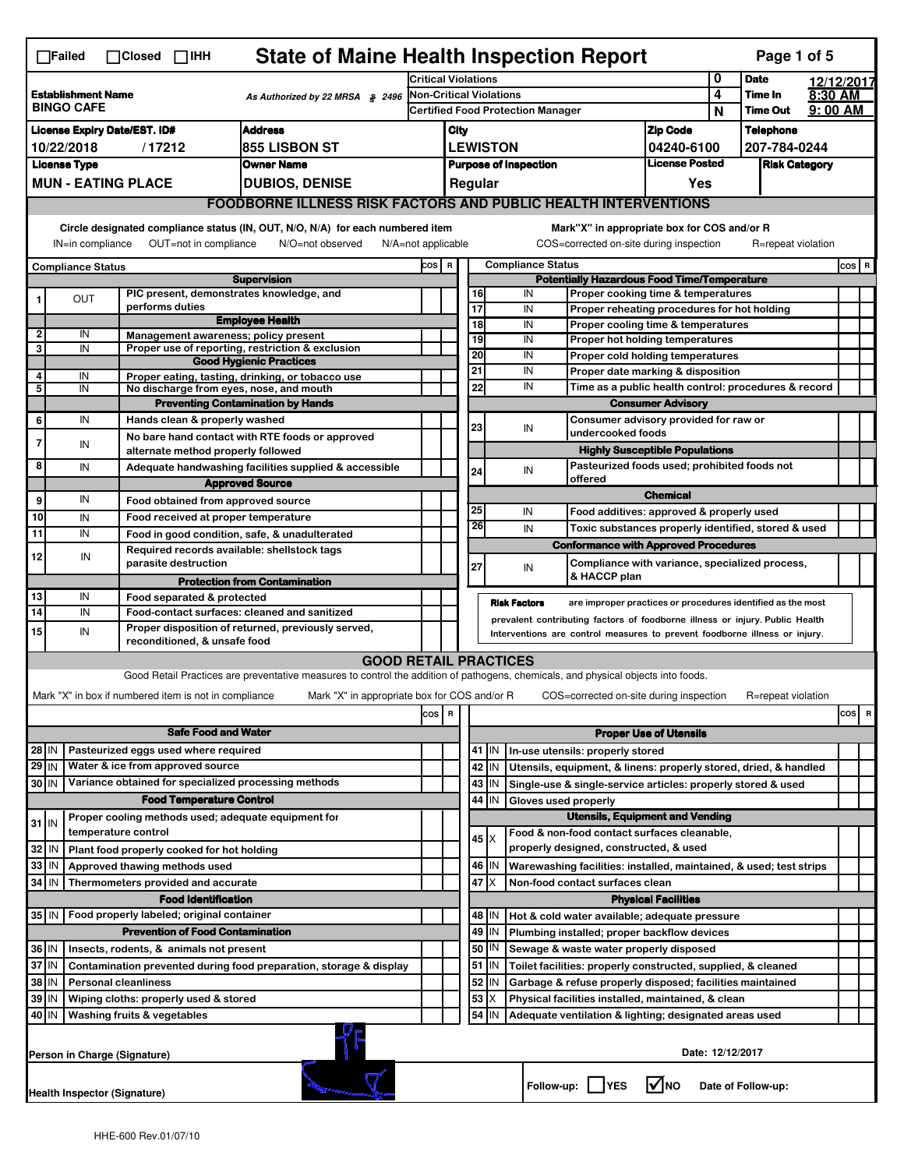|                                                                                   | <b>State of Maine Health Inspection Report</b><br>Page 1 of 5<br>$\Box$ Failed<br>$\Box$ Closed $\Box$ IHH                                                                                                             |                                                                     |                                                                                                                                   |                                                                            |  |  |               |    |                              |                                                                                                       |                               |  |                      |  |           |
|-----------------------------------------------------------------------------------|------------------------------------------------------------------------------------------------------------------------------------------------------------------------------------------------------------------------|---------------------------------------------------------------------|-----------------------------------------------------------------------------------------------------------------------------------|----------------------------------------------------------------------------|--|--|---------------|----|------------------------------|-------------------------------------------------------------------------------------------------------|-------------------------------|--|----------------------|--|-----------|
| <b>Establishment Name</b><br>As Authorized by 22 MRSA § 2496<br><b>BINGO CAFE</b> |                                                                                                                                                                                                                        |                                                                     | <b>Critical Violations</b>                                                                                                        |                                                                            |  |  |               | 0  | <b>Date</b>                  |                                                                                                       | 12/12/2017                    |  |                      |  |           |
|                                                                                   |                                                                                                                                                                                                                        |                                                                     |                                                                                                                                   | <b>Non-Critical Violations</b><br><b>Certified Food Protection Manager</b> |  |  |               |    | 4<br>N                       | Time In<br><b>Time Out</b>                                                                            | 8:30 AM<br>$9:00$ AM          |  |                      |  |           |
|                                                                                   | <b>Address</b><br><b>License Expiry Date/EST. ID#</b>                                                                                                                                                                  |                                                                     |                                                                                                                                   |                                                                            |  |  |               |    | <b>Zip Code</b>              |                                                                                                       | <b>Telephone</b>              |  |                      |  |           |
| /17212<br>855 LISBON ST<br>10/22/2018                                             |                                                                                                                                                                                                                        |                                                                     |                                                                                                                                   | City<br><b>LEWISTON</b><br>04240-6100                                      |  |  |               |    | 207-784-0244                 |                                                                                                       |                               |  |                      |  |           |
|                                                                                   | <b>License Type</b>                                                                                                                                                                                                    |                                                                     | <b>Owner Name</b>                                                                                                                 |                                                                            |  |  |               |    | <b>Purpose of Inspection</b> |                                                                                                       | <b>License Posted</b>         |  | <b>Risk Category</b> |  |           |
|                                                                                   |                                                                                                                                                                                                                        | <b>MUN - EATING PLACE</b>                                           | <b>DUBIOS, DENISE</b>                                                                                                             |                                                                            |  |  | Regular       |    |                              |                                                                                                       | Yes                           |  |                      |  |           |
|                                                                                   |                                                                                                                                                                                                                        |                                                                     | <b>FOODBORNE ILLNESS RISK FACTORS AND PUBLIC HEALTH INTERVENTIONS</b>                                                             |                                                                            |  |  |               |    |                              |                                                                                                       |                               |  |                      |  |           |
|                                                                                   | Circle designated compliance status (IN, OUT, N/O, N/A) for each numbered item<br>OUT=not in compliance<br>IN=in compliance<br>N/O=not observed<br>$N/A = not$ applicable                                              |                                                                     |                                                                                                                                   |                                                                            |  |  |               |    |                              | Mark"X" in appropriate box for COS and/or R<br>COS=corrected on-site during inspection                |                               |  | R=repeat violation   |  |           |
|                                                                                   | <b>Compliance Status</b>                                                                                                                                                                                               |                                                                     |                                                                                                                                   | COS R                                                                      |  |  |               |    | <b>Compliance Status</b>     |                                                                                                       |                               |  |                      |  | $cos$ R   |
|                                                                                   |                                                                                                                                                                                                                        |                                                                     | <b>Supervision</b>                                                                                                                |                                                                            |  |  |               |    |                              | <b>Potentially Hazardous Food Time/Temperature</b>                                                    |                               |  |                      |  |           |
|                                                                                   | OUT                                                                                                                                                                                                                    | performs duties                                                     | PIC present, demonstrates knowledge, and                                                                                          |                                                                            |  |  | 16<br>17      |    | IN<br>IN                     | Proper cooking time & temperatures<br>Proper reheating procedures for hot holding                     |                               |  |                      |  |           |
|                                                                                   |                                                                                                                                                                                                                        |                                                                     | <b>Employee Health</b>                                                                                                            |                                                                            |  |  | 18            |    | IN                           | Proper cooling time & temperatures                                                                    |                               |  |                      |  |           |
| $\mathbf{2}$<br>3                                                                 | IN<br>IN                                                                                                                                                                                                               |                                                                     | Management awareness; policy present<br>Proper use of reporting, restriction & exclusion                                          |                                                                            |  |  | 19            |    | IN                           | Proper hot holding temperatures                                                                       |                               |  |                      |  |           |
|                                                                                   |                                                                                                                                                                                                                        |                                                                     | <b>Good Hygienic Practices</b>                                                                                                    |                                                                            |  |  | 20            |    | IN                           | Proper cold holding temperatures                                                                      |                               |  |                      |  |           |
| 4                                                                                 | IN                                                                                                                                                                                                                     |                                                                     | Proper eating, tasting, drinking, or tobacco use                                                                                  |                                                                            |  |  | 21<br>22      |    | IN<br>IN                     | Proper date marking & disposition<br>Time as a public health control: procedures & record             |                               |  |                      |  |           |
| 5                                                                                 | IN                                                                                                                                                                                                                     |                                                                     | No discharge from eyes, nose, and mouth<br><b>Preventing Contamination by Hands</b>                                               |                                                                            |  |  |               |    |                              |                                                                                                       | <b>Consumer Advisory</b>      |  |                      |  |           |
| 6                                                                                 | IN                                                                                                                                                                                                                     | Hands clean & properly washed                                       |                                                                                                                                   |                                                                            |  |  |               |    |                              | Consumer advisory provided for raw or                                                                 |                               |  |                      |  |           |
| 7                                                                                 |                                                                                                                                                                                                                        |                                                                     | No bare hand contact with RTE foods or approved                                                                                   |                                                                            |  |  | 23            |    | IN                           | undercooked foods                                                                                     |                               |  |                      |  |           |
|                                                                                   | IN                                                                                                                                                                                                                     | alternate method properly followed                                  |                                                                                                                                   |                                                                            |  |  |               |    |                              | <b>Highly Susceptible Populations</b>                                                                 |                               |  |                      |  |           |
| 8                                                                                 | IN                                                                                                                                                                                                                     |                                                                     | Adequate handwashing facilities supplied & accessible                                                                             |                                                                            |  |  | 24            |    | IN                           | Pasteurized foods used; prohibited foods not<br>offered                                               |                               |  |                      |  |           |
| 9                                                                                 | IN                                                                                                                                                                                                                     |                                                                     | <b>Approved Source</b>                                                                                                            |                                                                            |  |  |               |    |                              |                                                                                                       | <b>Chemical</b>               |  |                      |  |           |
| 10                                                                                | IN                                                                                                                                                                                                                     |                                                                     | Food obtained from approved source<br>Food received at proper temperature                                                         |                                                                            |  |  | 25            |    | IN                           | Food additives: approved & properly used                                                              |                               |  |                      |  |           |
| 11                                                                                | IN                                                                                                                                                                                                                     |                                                                     | Food in good condition, safe, & unadulterated                                                                                     |                                                                            |  |  | 26            |    | IN                           | Toxic substances properly identified, stored & used                                                   |                               |  |                      |  |           |
| 12                                                                                |                                                                                                                                                                                                                        |                                                                     | Required records available: shellstock tags                                                                                       |                                                                            |  |  |               |    |                              | <b>Conformance with Approved Procedures</b>                                                           |                               |  |                      |  |           |
|                                                                                   | IN                                                                                                                                                                                                                     | parasite destruction                                                |                                                                                                                                   |                                                                            |  |  | 27            |    | IN                           | Compliance with variance, specialized process,                                                        |                               |  |                      |  |           |
|                                                                                   |                                                                                                                                                                                                                        |                                                                     | <b>Protection from Contamination</b>                                                                                              |                                                                            |  |  |               |    |                              | & HACCP plan                                                                                          |                               |  |                      |  |           |
| 13<br>14                                                                          | IN<br>IN                                                                                                                                                                                                               | Food separated & protected                                          | Food-contact surfaces: cleaned and sanitized                                                                                      |                                                                            |  |  |               |    | <b>Risk Factors</b>          | are improper practices or procedures identified as the most                                           |                               |  |                      |  |           |
| 15                                                                                | prevalent contributing factors of foodborne illness or injury. Public Health<br>Proper disposition of returned, previously served,<br>IN<br>Interventions are control measures to prevent foodborne illness or injury. |                                                                     |                                                                                                                                   |                                                                            |  |  |               |    |                              |                                                                                                       |                               |  |                      |  |           |
|                                                                                   |                                                                                                                                                                                                                        | reconditioned, & unsafe food                                        |                                                                                                                                   |                                                                            |  |  |               |    |                              |                                                                                                       |                               |  |                      |  |           |
|                                                                                   |                                                                                                                                                                                                                        |                                                                     | <b>GOOD RETAIL PRACTICES</b>                                                                                                      |                                                                            |  |  |               |    |                              |                                                                                                       |                               |  |                      |  |           |
|                                                                                   |                                                                                                                                                                                                                        |                                                                     | Good Retail Practices are preventative measures to control the addition of pathogens, chemicals, and physical objects into foods. |                                                                            |  |  |               |    |                              |                                                                                                       |                               |  |                      |  |           |
|                                                                                   |                                                                                                                                                                                                                        | Mark "X" in box if numbered item is not in compliance               | Mark "X" in appropriate box for COS and/or R                                                                                      |                                                                            |  |  |               |    |                              | COS=corrected on-site during inspection                                                               |                               |  | R=repeat violation   |  |           |
|                                                                                   |                                                                                                                                                                                                                        |                                                                     |                                                                                                                                   | COS R                                                                      |  |  |               |    |                              |                                                                                                       |                               |  |                      |  | cosl<br>R |
|                                                                                   |                                                                                                                                                                                                                        | Pasteurized eggs used where required                                | <b>Safe Food and Water</b>                                                                                                        |                                                                            |  |  |               |    |                              |                                                                                                       | <b>Proper Use of Utensils</b> |  |                      |  |           |
| $28$ IN<br>$29$ IN                                                                |                                                                                                                                                                                                                        | Water & ice from approved source                                    |                                                                                                                                   |                                                                            |  |  | 41   IN<br>42 | IN |                              | In-use utensils: properly stored<br>Utensils, equipment, & linens: properly stored, dried, & handled  |                               |  |                      |  |           |
| 30 IN                                                                             |                                                                                                                                                                                                                        |                                                                     | Variance obtained for specialized processing methods                                                                              |                                                                            |  |  | 43            | IN |                              | Single-use & single-service articles: properly stored & used                                          |                               |  |                      |  |           |
|                                                                                   |                                                                                                                                                                                                                        | <b>Food Temperature Control</b>                                     |                                                                                                                                   |                                                                            |  |  | 44            | IN | Gloves used properly         |                                                                                                       |                               |  |                      |  |           |
| $31$ IN                                                                           |                                                                                                                                                                                                                        |                                                                     | Proper cooling methods used; adequate equipment for                                                                               |                                                                            |  |  |               |    |                              | <b>Utensils, Equipment and Vending</b>                                                                |                               |  |                      |  |           |
|                                                                                   |                                                                                                                                                                                                                        | temperature control                                                 |                                                                                                                                   |                                                                            |  |  | 45   X        |    |                              | Food & non-food contact surfaces cleanable,                                                           |                               |  |                      |  |           |
| 32                                                                                | IN                                                                                                                                                                                                                     | Plant food properly cooked for hot holding                          |                                                                                                                                   |                                                                            |  |  |               |    |                              | properly designed, constructed, & used                                                                |                               |  |                      |  |           |
| 33<br>34 IN                                                                       | IN                                                                                                                                                                                                                     | Approved thawing methods used<br>Thermometers provided and accurate |                                                                                                                                   |                                                                            |  |  | 46<br>47      | IN |                              | Warewashing facilities: installed, maintained, & used; test strips<br>Non-food contact surfaces clean |                               |  |                      |  |           |
|                                                                                   |                                                                                                                                                                                                                        |                                                                     |                                                                                                                                   |                                                                            |  |  |               |    |                              |                                                                                                       |                               |  |                      |  |           |
|                                                                                   | <b>Food Identification</b><br><b>Physical Facilities</b><br>Food properly labeled; original container<br>35 IN<br>48   IN<br>Hot & cold water available; adequate pressure                                             |                                                                     |                                                                                                                                   |                                                                            |  |  |               |    |                              |                                                                                                       |                               |  |                      |  |           |
|                                                                                   | <b>Prevention of Food Contamination</b>                                                                                                                                                                                |                                                                     |                                                                                                                                   |                                                                            |  |  | 49            | IN |                              | Plumbing installed; proper backflow devices                                                           |                               |  |                      |  |           |
|                                                                                   | 36 IN<br>Insects, rodents, & animals not present                                                                                                                                                                       |                                                                     |                                                                                                                                   |                                                                            |  |  | 50   IN       |    |                              | Sewage & waste water properly disposed                                                                |                               |  |                      |  |           |
|                                                                                   | 37 IN<br>Contamination prevented during food preparation, storage & display                                                                                                                                            |                                                                     |                                                                                                                                   |                                                                            |  |  | $51$ M        |    |                              | Toilet facilities: properly constructed, supplied, & cleaned                                          |                               |  |                      |  |           |
|                                                                                   | 38 IN<br><b>Personal cleanliness</b>                                                                                                                                                                                   |                                                                     |                                                                                                                                   |                                                                            |  |  | 52            | IN |                              | Garbage & refuse properly disposed; facilities maintained                                             |                               |  |                      |  |           |
|                                                                                   | 39 IN<br>Wiping cloths: properly used & stored<br>40 IN<br>Washing fruits & vegetables                                                                                                                                 |                                                                     |                                                                                                                                   |                                                                            |  |  | 53<br>54      | IN |                              | Physical facilities installed, maintained, & clean                                                    |                               |  |                      |  |           |
| Adequate ventilation & lighting; designated areas used                            |                                                                                                                                                                                                                        |                                                                     |                                                                                                                                   |                                                                            |  |  |               |    |                              |                                                                                                       |                               |  |                      |  |           |
|                                                                                   | Date: 12/12/2017<br>Person in Charge (Signature)                                                                                                                                                                       |                                                                     |                                                                                                                                   |                                                                            |  |  |               |    |                              |                                                                                                       |                               |  |                      |  |           |
|                                                                                   | l√lno<br>Follow-up:     YES<br>Date of Follow-up:<br><b>Health Inspector (Signature)</b>                                                                                                                               |                                                                     |                                                                                                                                   |                                                                            |  |  |               |    |                              |                                                                                                       |                               |  |                      |  |           |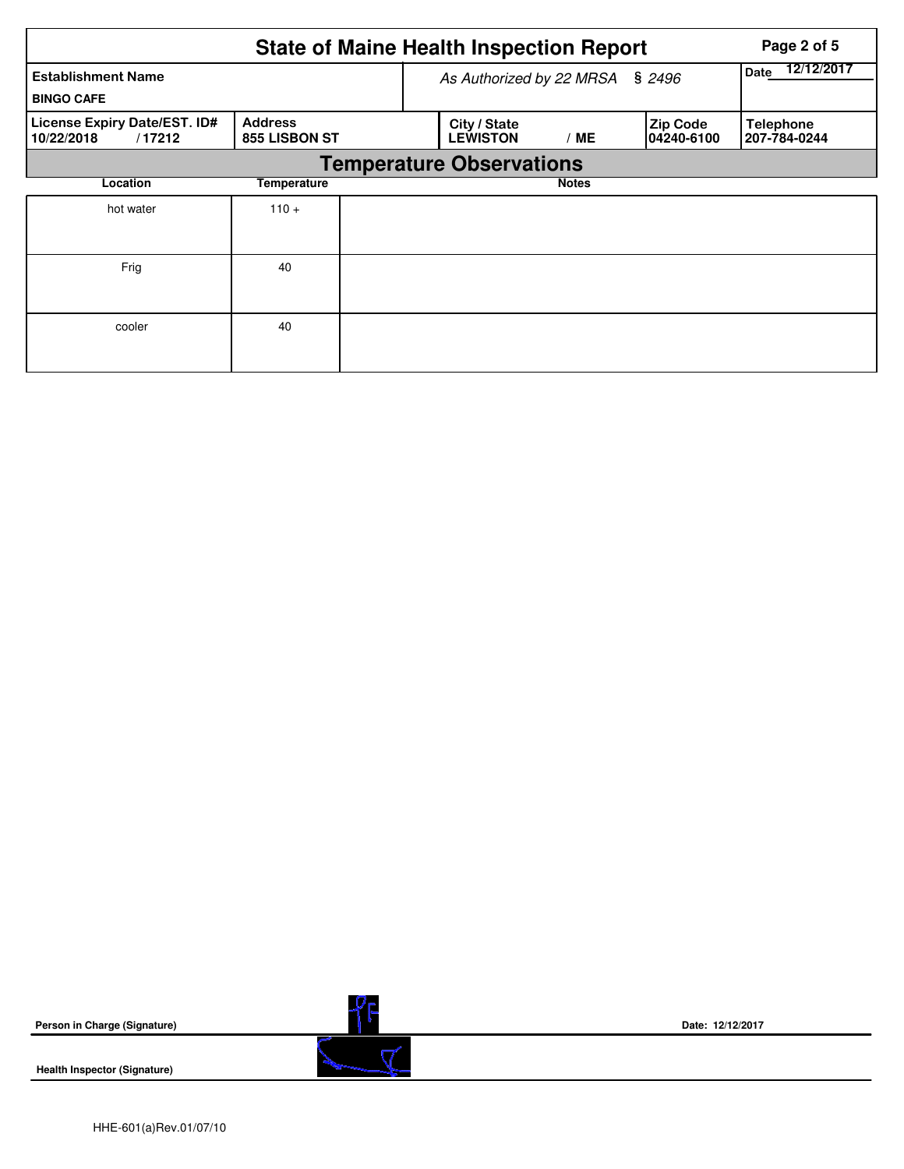|                                                      | <b>State of Maine Health Inspection Report</b> | Page 2 of 5                     |              |                                |                                  |
|------------------------------------------------------|------------------------------------------------|---------------------------------|--------------|--------------------------------|----------------------------------|
| <b>Establishment Name</b><br><b>BINGO CAFE</b>       | As Authorized by 22 MRSA                       | 12/12/2017<br><b>Date</b>       |              |                                |                                  |
| License Expiry Date/EST. ID#<br>10/22/2018<br>/17212 | <b>Address</b><br>855 LISBON ST                | City / State<br><b>LEWISTON</b> | ' ME         | <b>Zip Code</b><br>104240-6100 | <b>Telephone</b><br>207-784-0244 |
|                                                      | <b>Temperature Observations</b>                |                                 |              |                                |                                  |
| Location                                             | Temperature                                    |                                 | <b>Notes</b> |                                |                                  |
| hot water                                            | $110 +$                                        |                                 |              |                                |                                  |
| Frig                                                 | 40                                             |                                 |              |                                |                                  |
| cooler                                               | 40                                             |                                 |              |                                |                                  |

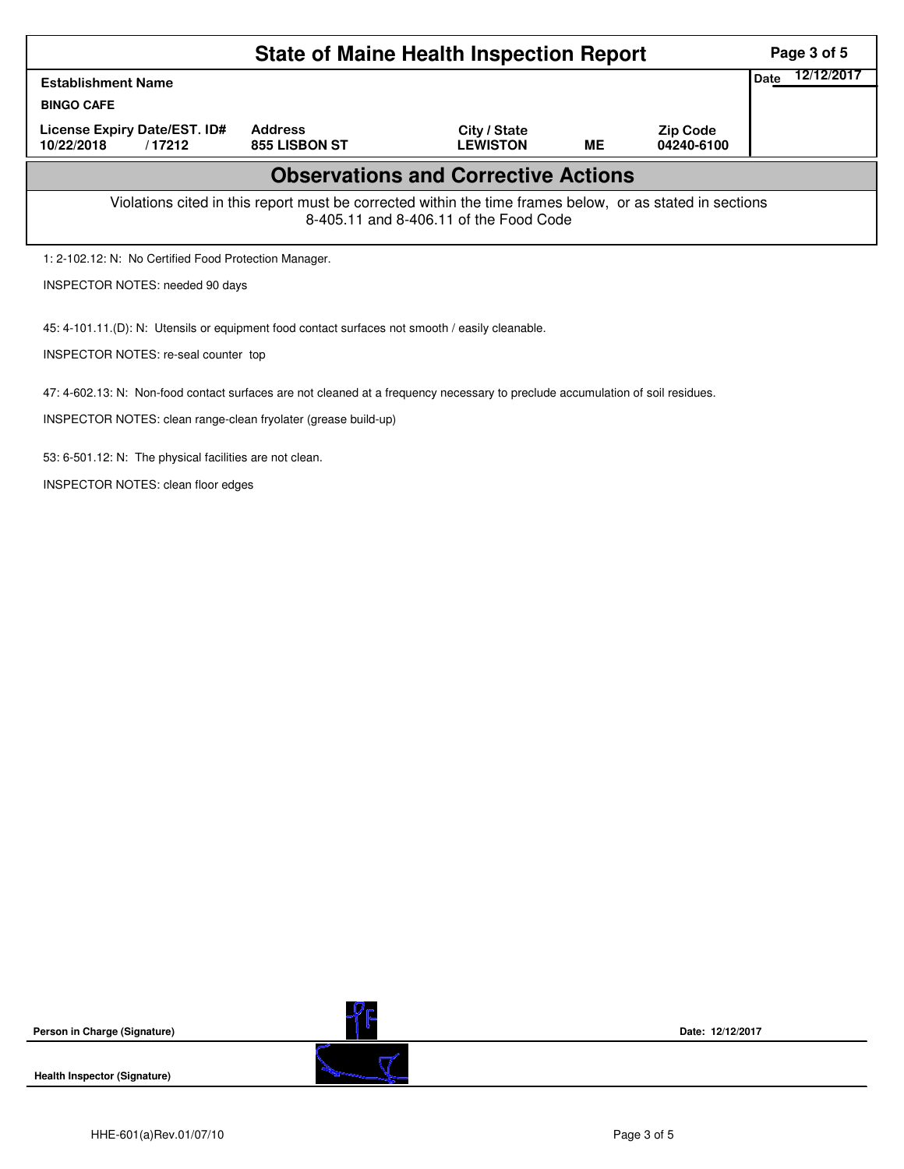|                                                                                                                                                    | Page 3 of 5                            |                                            |           |                               |  |  |  |  |  |  |
|----------------------------------------------------------------------------------------------------------------------------------------------------|----------------------------------------|--------------------------------------------|-----------|-------------------------------|--|--|--|--|--|--|
| <b>Establishment Name</b>                                                                                                                          | 12/12/2017<br><b>Date</b>              |                                            |           |                               |  |  |  |  |  |  |
| <b>BINGO CAFE</b>                                                                                                                                  |                                        |                                            |           |                               |  |  |  |  |  |  |
| License Expiry Date/EST. ID#<br>10/22/2018<br>/17212                                                                                               | <b>Address</b><br><b>855 LISBON ST</b> | City / State<br><b>LEWISTON</b>            | <b>ME</b> | <b>Zip Code</b><br>04240-6100 |  |  |  |  |  |  |
|                                                                                                                                                    |                                        | <b>Observations and Corrective Actions</b> |           |                               |  |  |  |  |  |  |
| Violations cited in this report must be corrected within the time frames below, or as stated in sections<br>8-405.11 and 8-406.11 of the Food Code |                                        |                                            |           |                               |  |  |  |  |  |  |
| 1: 2-102.12: N: No Certified Food Protection Manager.                                                                                              |                                        |                                            |           |                               |  |  |  |  |  |  |
|                                                                                                                                                    | <b>INSPECTOR NOTES: needed 90 days</b> |                                            |           |                               |  |  |  |  |  |  |
| 45: 4-101.11.(D): N: Utensils or equipment food contact surfaces not smooth / easily cleanable.<br>INSPECTOR NOTES: re-seal counter top            |                                        |                                            |           |                               |  |  |  |  |  |  |
| 47: 4-602.13: N: Non-food contact surfaces are not cleaned at a frequency necessary to preclude accumulation of soil residues.                     |                                        |                                            |           |                               |  |  |  |  |  |  |

INSPECTOR NOTES: clean range-clean fryolater (grease build-up)

53: 6-501.12: N: The physical facilities are not clean.

INSPECTOR NOTES: clean floor edges

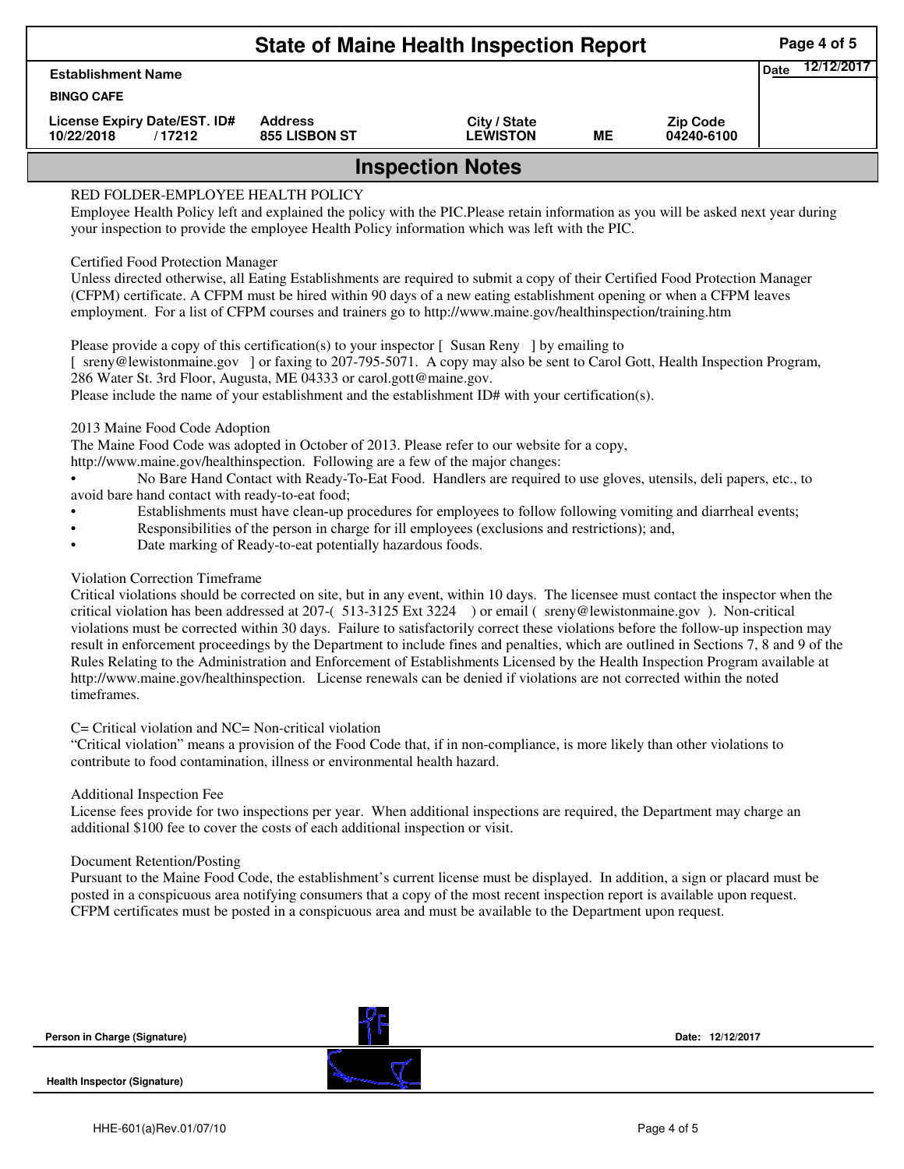|                                                      | Page 4 of 5                     |                                 |    |                               |             |            |  |  |  |
|------------------------------------------------------|---------------------------------|---------------------------------|----|-------------------------------|-------------|------------|--|--|--|
| <b>Establishment Name</b><br><b>BINGO CAFE</b>       |                                 |                                 |    |                               | <b>Date</b> | 12/12/2017 |  |  |  |
| License Expiry Date/EST. ID#<br>10/22/2018<br>/17212 | <b>Address</b><br>855 LISBON ST | City / State<br><b>LEWISTON</b> | MЕ | <b>Zip Code</b><br>04240-6100 |             |            |  |  |  |
| <b>Inspection Notes</b>                              |                                 |                                 |    |                               |             |            |  |  |  |

# RED FOLDER-EMPLOYEE HEALTH POLICY

Employee Health Policy left and explained the policy with the PIC.Please retain information as you will be asked next year during your inspection to provide the employee Health Policy information which was left with the PIC.

### Certified Food Protection Manager

Unless directed otherwise, all Eating Establishments are required to submit a copy of their Certified Food Protection Manager (CFPM) certificate. A CFPM must be hired within 90 days of a new eating establishment opening or when a CFPM leaves employment. For a list of CFPM courses and trainers go to http://www.maine.gov/healthinspection/training.htm

Please provide a copy of this certification(s) to your inspector [Susan Reny ] by emailing to [ sreny@lewistonmaine.gov ] or faxing to 207-795-5071. A copy may also be sent to Carol Gott, Health Inspection Program, 286 Water St. 3rd Floor, Augusta, ME 04333 or carol.gott@maine.gov.

Please include the name of your establishment and the establishment ID# with your certification(s).

2013 Maine Food Code Adoption

The Maine Food Code was adopted in October of 2013. Please refer to our website for a copy,

http://www.maine.gov/healthinspection. Following are a few of the major changes:

• No Bare Hand Contact with Ready-To-Eat Food. Handlers are required to use gloves, utensils, deli papers, etc., to avoid bare hand contact with ready-to-eat food;

- Establishments must have clean-up procedures for employees to follow following vomiting and diarrheal events;
- Responsibilities of the person in charge for ill employees (exclusions and restrictions); and,
- Date marking of Ready-to-eat potentially hazardous foods.

## Violation Correction Timeframe

Critical violations should be corrected on site, but in any event, within 10 days. The licensee must contact the inspector when the critical violation has been addressed at 207-( 513-3125 Ext 3224 ) or email ( sreny@lewistonmaine.gov ). Non-critical violations must be corrected within 30 days. Failure to satisfactorily correct these violations before the follow-up inspection may result in enforcement proceedings by the Department to include fines and penalties, which are outlined in Sections 7, 8 and 9 of the Rules Relating to the Administration and Enforcement of Establishments Licensed by the Health Inspection Program available at http://www.maine.gov/healthinspection. License renewals can be denied if violations are not corrected within the noted timeframes.

## C= Critical violation and NC= Non-critical violation

"Critical violation" means a provision of the Food Code that, if in non-compliance, is more likely than other violations to contribute to food contamination, illness or environmental health hazard.

#### Additional Inspection Fee

License fees provide for two inspections per year. When additional inspections are required, the Department may charge an additional \$100 fee to cover the costs of each additional inspection or visit.

#### Document Retention/Posting

Pursuant to the Maine Food Code, the establishment's current license must be displayed. In addition, a sign or placard must be posted in a conspicuous area notifying consumers that a copy of the most recent inspection report is available upon request. CFPM certificates must be posted in a conspicuous area and must be available to the Department upon request.